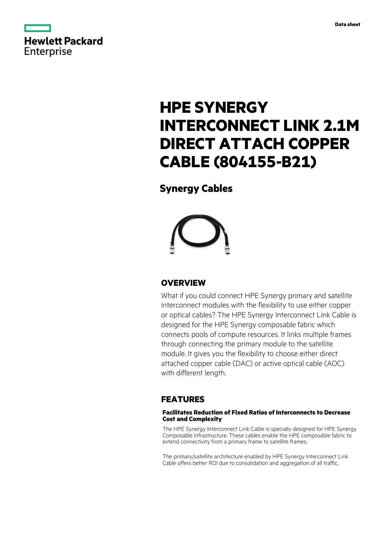

# **HPE SYNERGY INTERCONNECT LINK 2.1M DIRECT ATTACH COPPER CABLE (804155-B21)**

# **Synergy Cables**



# **OVERVIEW**

What if you could connect HPE Synergy primary and satellite interconnect modules with the flexibility to use either copper or optical cables? The HPE Synergy Interconnect Link Cable is designed for the HPE Synergy composable fabric which connects pools of compute resources. It links multiple frames through connecting the primary module to the satellite module. It gives you the flexibility to choose either direct attached copper cable (DAC) or active optical cable (AOC) with different length.

# **FEATURES**

### **Facilitates Reduction of Fixed Ratios of Interconnects to Decrease Cost and Complexity**

The HPE Synergy Interconnect Link Cable is specially designed for HPE Synergy Composable Infrastructure. These cables enable the HPE composable fabric to extend connectivity from a primary frame to satellite frames.

The primary/satellite architecture enabled by HPE Synergy Interconnect Link Cable offers better ROI due to consolidation and aggregation of all traffic,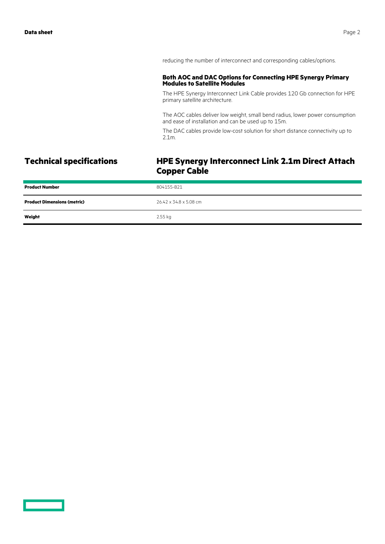reducing the number of interconnect and corresponding cables/options.

### **Both AOC and DAC Options for Connecting HPE Synergy Primary Modules to Satellite Modules**

The HPE Synergy Interconnect Link Cable provides 120 Gb connection for HPE primary satellite architecture.

The AOC cables deliver low weight, small bend radius, lower power consumption and ease of installation and can be used up to 15m.

The DAC cables provide low-cost solution for short distance connectivity up to 2.1m.

# **Technical specifications HPE Synergy Interconnect Link 2.1m Direct Attach Copper Cable**

| <b>Product Number</b>              | 804155-B21             |
|------------------------------------|------------------------|
| <b>Product Dimensions (metric)</b> | 26.42 x 34.8 x 5.08 cm |
| Weight                             | 2.55 kg                |